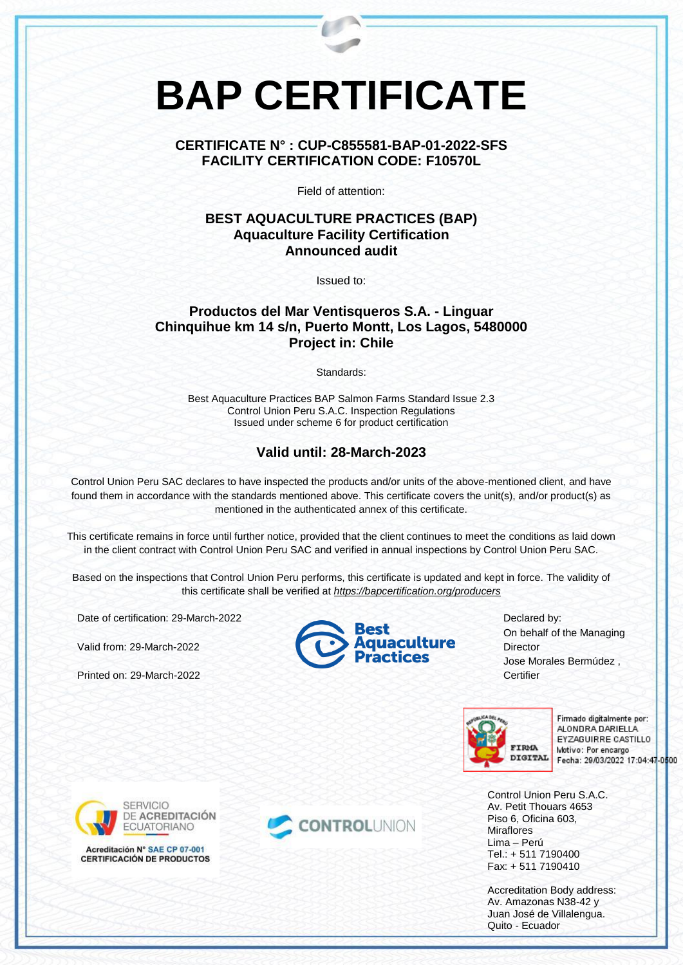# **BAP CERTIFICATE**

#### **CERTIFICATE N° : CUP-C855581-BAP-01-2022-SFS FACILITY CERTIFICATION CODE: F10570L**

Field of attention:

#### **BEST AQUACULTURE PRACTICES (BAP) Aquaculture Facility Certification Announced audit**

Issued to:

## **Productos del Mar Ventisqueros S.A. - Linguar Chinquihue km 14 s/n, Puerto Montt, Los Lagos, 5480000 Project in: Chile**

Standards:

Best Aquaculture Practices BAP Salmon Farms Standard Issue 2.3 Control Union Peru S.A.C. Inspection Regulations Issued under scheme 6 for product certification

## **Valid until: 28-March-2023**

Control Union Peru SAC declares to have inspected the products and/or units of the above-mentioned client, and have found them in accordance with the standards mentioned above. This certificate covers the unit(s), and/or product(s) as mentioned in the authenticated annex of this certificate.

This certificate remains in force until further notice, provided that the client continues to meet the conditions as laid down in the client contract with Control Union Peru SAC and verified in annual inspections by Control Union Peru SAC.

Based on the inspections that Control Union Peru performs, this certificate is updated and kept in force. The validity of this certificate shall be verified at *<https://bapcertification.org/producers>*

Date of certification: 29-March-2022

Valid from: 29-March-2022

Printed on: 29-March-2022



Declared by: On behalf of the Managing **Director** Jose Morales Bermúdez , Certifier



Firmado digitalmente por: ALONDRA DARIELLA EYZAGUIRRE CASTILLO Motivo: Por encargo Fecha: 29/03/2022 17:04:47-0500

Control Union Peru S.A.C. Av. Petit Thouars 4653 Piso 6, Oficina 603, **Miraflores** Lima – Perú Tel.: + 511 7190400 Fax: + 511 7190410

Accreditation Body address: Av. Amazonas N38-42 y Juan José de Villalengua. Quito - Ecuador